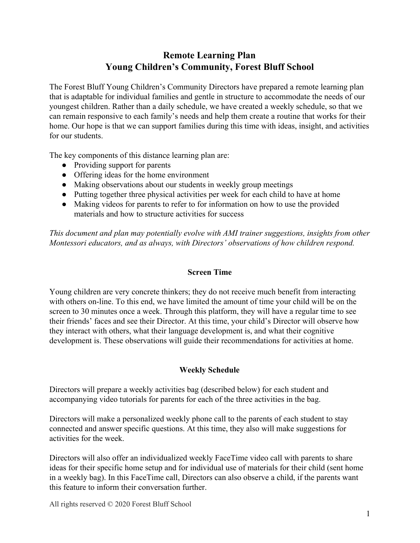# **Remote Learning Plan Young Children's Community, Forest Bluff School**

The Forest Bluff Young Children's Community Directors have prepared a remote learning plan that is adaptable for individual families and gentle in structure to accommodate the needs of our youngest children. Rather than a daily schedule, we have created a weekly schedule, so that we can remain responsive to each family's needs and help them create a routine that works for their home. Our hope is that we can support families during this time with ideas, insight, and activities for our students.

The key components of this distance learning plan are:

- Providing support for parents
- Offering ideas for the home environment
- Making observations about our students in weekly group meetings
- Putting together three physical activities per week for each child to have at home
- Making videos for parents to refer to for information on how to use the provided materials and how to structure activities for success

*This document and plan may potentially evolve with AMI trainer suggestions, insights from other Montessori educators, and as always, with Directors' observations of how children respond.*

### **Screen Time**

Young children are very concrete thinkers; they do not receive much benefit from interacting with others on-line. To this end, we have limited the amount of time your child will be on the screen to 30 minutes once a week. Through this platform, they will have a regular time to see their friends' faces and see their Director. At this time, your child's Director will observe how they interact with others, what their language development is, and what their cognitive development is. These observations will guide their recommendations for activities at home.

# **Weekly Schedule**

Directors will prepare a weekly activities bag (described below) for each student and accompanying video tutorials for parents for each of the three activities in the bag.

Directors will make a personalized weekly phone call to the parents of each student to stay connected and answer specific questions. At this time, they also will make suggestions for activities for the week.

Directors will also offer an individualized weekly FaceTime video call with parents to share ideas for their specific home setup and for individual use of materials for their child (sent home in a weekly bag). In this FaceTime call, Directors can also observe a child, if the parents want this feature to inform their conversation further.